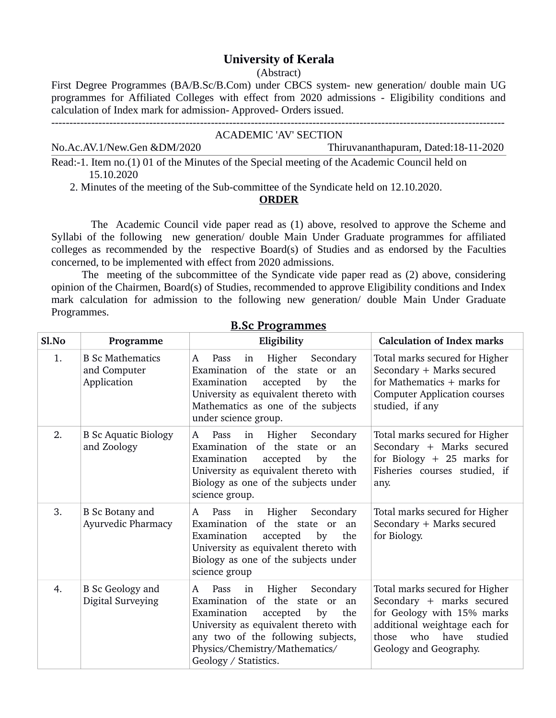# **University of Kerala**

(Abstract)

First Degree Programmes (BA/B.Sc/B.Com) under CBCS system- new generation/ double main UG programmes for Affiliated Colleges with effect from 2020 admissions - Eligibility conditions and calculation of Index mark for admission- Approved- Orders issued.

| ACADEMIC 'AV' SECTION                                                                         |                                      |  |  |
|-----------------------------------------------------------------------------------------------|--------------------------------------|--|--|
| No.Ac.AV.1/New.Gen &DM/2020                                                                   | Thiruvananthapuram, Dated:18-11-2020 |  |  |
| Read:-1. Item no.(1) 01 of the Minutes of the Special meeting of the Academic Council held on |                                      |  |  |

15.10.2020

2. Minutes of the meeting of the Sub-committee of the Syndicate held on 12.10.2020.

#### **ORDER**

 The Academic Council vide paper read as (1) above, resolved to approve the Scheme and Syllabi of the following new generation/ double Main Under Graduate programmes for affiliated colleges as recommended by the respective Board(s) of Studies and as endorsed by the Faculties concerned, to be implemented with effect from 2020 admissions.

 The meeting of the subcommittee of the Syndicate vide paper read as (2) above, considering opinion of the Chairmen, Board(s) of Studies, recommended to approve Eligibility conditions and Index mark calculation for admission to the following new generation/ double Main Under Graduate Programmes.

| Sl.No | Programme                                              | Eligibility                                                                                                                                                                                                                                                   | <b>Calculation of Index marks</b>                                                                                                                                                    |
|-------|--------------------------------------------------------|---------------------------------------------------------------------------------------------------------------------------------------------------------------------------------------------------------------------------------------------------------------|--------------------------------------------------------------------------------------------------------------------------------------------------------------------------------------|
| 1.    | <b>B</b> Sc Mathematics<br>and Computer<br>Application | Higher<br>Secondary<br>Pass<br>in<br>A<br>Examination of the state or<br>an<br>Examination<br>accepted<br>by<br>the<br>University as equivalent thereto with<br>Mathematics as one of the subjects<br>under science group.                                    | Total marks secured for Higher<br>Secondary + Marks secured<br>for Mathematics $+$ marks for<br><b>Computer Application courses</b><br>studied, if any                               |
| 2.    | <b>B</b> Sc Aquatic Biology<br>and Zoology             | Pass<br>Higher<br>Secondary<br>A<br>in<br>Examination of the state or<br>an<br>accepted<br>by<br>the<br>Examination<br>University as equivalent thereto with<br>Biology as one of the subjects under<br>science group.                                        | Total marks secured for Higher<br>Secondary + Marks secured<br>for Biology $+25$ marks for<br>Fisheries courses studied, if<br>any.                                                  |
| 3.    | <b>B</b> Sc Botany and<br>Ayurvedic Pharmacy           | Pass<br>Higher<br>in<br>Secondary<br>A<br>Examination of the state or<br>an<br>Examination<br>accepted<br>by<br>the<br>University as equivalent thereto with<br>Biology as one of the subjects under<br>science group                                         | Total marks secured for Higher<br>Secondary + Marks secured<br>for Biology.                                                                                                          |
| 4.    | <b>B</b> Sc Geology and<br>Digital Surveying           | Higher<br>Secondary<br>Pass<br>in<br>A<br>Examination of the state or<br>an<br>Examination<br>by<br>accepted<br>the<br>University as equivalent thereto with<br>any two of the following subjects,<br>Physics/Chemistry/Mathematics/<br>Geology / Statistics. | Total marks secured for Higher<br>Secondary + marks secured<br>for Geology with 15% marks<br>additional weightage each for<br>who have<br>studied<br>those<br>Geology and Geography. |

### **B.Sc Programmes**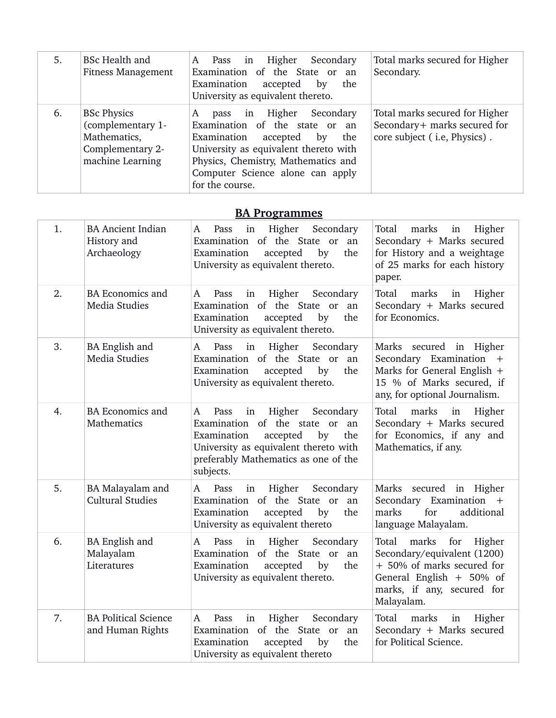| 5. | <b>BSc Health and</b><br><b>Fitness Management</b>                                              | Higher<br>Secondary<br>Pass in<br>A<br>Examination of the State or an<br>Examination<br>accepted<br>the<br>by<br>University as equivalent thereto.                                                                                                   | Total marks secured for Higher<br>Secondary.                                                   |
|----|-------------------------------------------------------------------------------------------------|------------------------------------------------------------------------------------------------------------------------------------------------------------------------------------------------------------------------------------------------------|------------------------------------------------------------------------------------------------|
| 6. | <b>BSc Physics</b><br>(complementary 1-<br>Mathematics,<br>Complementary 2-<br>machine Learning | Higher<br>Secondary<br>A<br>in<br>pass<br>Examination of the state or an<br>Examination accepted<br>the<br>by<br>University as equivalent thereto with<br>Physics, Chemistry, Mathematics and<br>Computer Science alone can apply<br>for the course. | Total marks secured for Higher<br>Secondary+ marks secured for<br>core subject (i.e, Physics). |

## **BA Programmes**

| 1. | <b>BA Ancient Indian</b><br>History and<br>Archaeology | Higher<br>Secondary<br>Pass<br>in<br>A<br>Examination of the State or<br>an<br>Examination<br>accepted<br>by<br>the<br>University as equivalent thereto.                                                       | Total<br>marks<br>Higher<br>in<br>Secondary + Marks secured<br>for History and a weightage<br>of 25 marks for each history<br>paper.                                 |
|----|--------------------------------------------------------|----------------------------------------------------------------------------------------------------------------------------------------------------------------------------------------------------------------|----------------------------------------------------------------------------------------------------------------------------------------------------------------------|
| 2. | <b>BA Economics and</b><br>Media Studies               | Higher<br>Secondary<br>Pass<br>in<br>A<br>Examination of the State or<br>an<br>Examination<br>accepted<br>by<br>the<br>University as equivalent thereto.                                                       | Total<br>marks<br>in<br>Higher<br>Secondary + Marks secured<br>for Economics.                                                                                        |
| 3. | <b>BA English and</b><br>Media Studies                 | Higher<br>Pass<br>Secondary<br>A<br>in<br>Examination of the State or an<br>Examination<br>accepted<br>by<br>the<br>University as equivalent thereto.                                                          | Marks secured in Higher<br>Secondary Examination +<br>Marks for General English +<br>15 % of Marks secured, if<br>any, for optional Journalism.                      |
| 4. | <b>BA Economics and</b><br>Mathematics                 | Pass<br>Higher<br>Secondary<br>A<br>in<br>Examination of the state or an<br>Examination<br>by<br>the<br>accepted<br>University as equivalent thereto with<br>preferably Mathematics as one of the<br>subjects. | Total<br>marks<br>in<br>Higher<br>Secondary + Marks secured<br>for Economics, if any and<br>Mathematics, if any.                                                     |
| 5. | BA Malayalam and<br><b>Cultural Studies</b>            | Higher<br>Secondary<br>Pass<br>in<br>A<br>Examination of the State or<br>an<br>Examination<br>accepted<br>by<br>the<br>University as equivalent thereto                                                        | Marks secured in Higher<br>Secondary Examination +<br>marks<br>for<br>additional<br>language Malayalam.                                                              |
| 6. | BA English and<br>Malayalam<br>Literatures             | Pass<br>in<br>Higher<br>Secondary<br>A<br>Examination of the State or an<br>Examination<br>accepted<br>by<br>the<br>University as equivalent thereto.                                                          | marks<br>for<br>Total<br>Higher<br>Secondary/equivalent (1200)<br>+ 50% of marks secured for<br>General English + 50% of<br>marks, if any, secured for<br>Malayalam. |
| 7. | <b>BA Political Science</b><br>and Human Rights        | Higher<br>Secondary<br>Pass<br>in<br>A<br>Examination of the State or<br>an<br>the<br>Examination<br>accepted<br>by<br>University as equivalent thereto                                                        | marks<br>Total<br>Higher<br>in<br>Secondary + Marks secured<br>for Political Science.                                                                                |